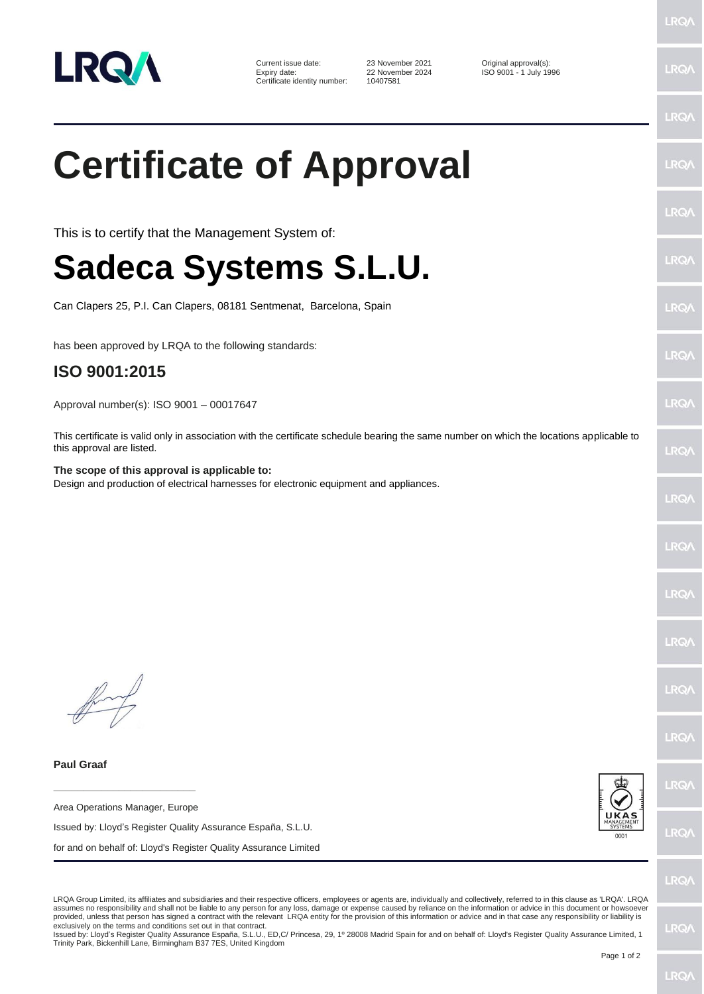

Current issue date: 23 November 2021 Current issue date: 22 November 2024 Criginal approval(s):<br>
22 November 2024 ISO 9001 - 1 July 19 Certificate identity number:

22 November 2024 ISO 9001 - 1 July 1996<br>10407581

## **Certificate of Approval**

This is to certify that the Management System of:

## **Sadeca Systems S.L.U.**

Can Clapers 25, P.I. Can Clapers, 08181 Sentmenat, Barcelona, Spain

has been approved by LRQA to the following standards:

## **ISO 9001:2015**

Approval number(s): ISO 9001 – 00017647

This certificate is valid only in association with the certificate schedule bearing the same number on which the locations applicable to this approval are listed.

**The scope of this approval is applicable to:** Design and production of electrical harnesses for electronic equipment and appliances.

**Paul Graaf**

Area Operations Manager, Europe

**\_\_\_\_\_\_\_\_\_\_\_\_\_\_\_\_\_\_\_\_\_\_\_\_**

Issued by: Lloyd's Register Quality Assurance España, S.L.U.

for and on behalf of: Lloyd's Register Quality Assurance Limited



LRQ/

LRQA Group Limited, its affiliates and subsidiaries and their respective officers, employees or agents are, individually and collectively, referred to in this clause as 'LRQA'. LRQA assumes no responsibility and shall not be liable to any person for any loss, damage or expense caused by reliance on the information or advice in this document or howsoever provided, unless that person has signed a contract with the relevant LRQA entity for the provision of this information or advice and in that case any responsibility or liability is exclusively on the terms and conditions set out in that contract.

Issued by: Lloyd's Register Quality Assurance España, S.L.U., ED,C/ Princesa, 29, 1º 28008 Madrid Spain for and on behalf of: Lloyd's Register Quality Assurance Limited, 1 Trinity Park, Bickenhill Lane, Birmingham B37 7ES, United Kingdom

**LRQ/** 

**LRQ/** 

LRO/

**IRQ/** 

LRQ.

LRQ/

LRQ/

LRO/

LRQ/

LRQ/

LRQ/

LRQ/

LRQ/

LRQ/

**LRQ** 

LRQ/

LRQ/

**LRQ/**